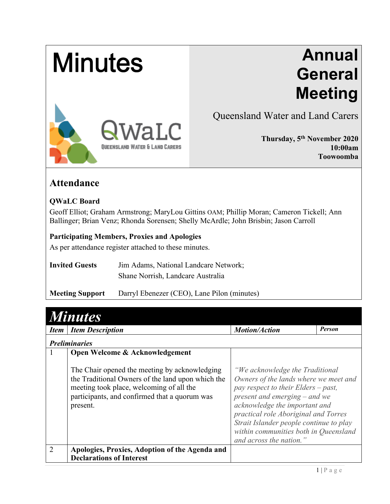# **Minutes**

# **Annual General Meeting**



Queensland Water and Land Carers

**Thursday, 5th November 2020 10:00am Toowoomba**

## **Attendance**

#### **QWaLC Board**

Geoff Elliot; Graham Armstrong; MaryLou Gittins OAM; Phillip Moran; Cameron Tickell; Ann Ballinger; Brian Venz; Rhonda Sorensen; Shelly McArdle; John Brisbin; Jason Carroll

#### **Participating Members, Proxies and Apologies**

As per attendance register attached to these minutes.

| <b>Invited Guests</b> | Jim Adams, National Landcare Network; |  |
|-----------------------|---------------------------------------|--|
|                       | Shane Norrish, Landcare Australia     |  |

**Meeting Support** Darryl Ebenezer (CEO), Lane Pilon (minutes)

| <b>Minutes</b> |                                                                                                                                                                                                                                               |                                                                                                                                                                                                                                                                                                                                              |               |
|----------------|-----------------------------------------------------------------------------------------------------------------------------------------------------------------------------------------------------------------------------------------------|----------------------------------------------------------------------------------------------------------------------------------------------------------------------------------------------------------------------------------------------------------------------------------------------------------------------------------------------|---------------|
| <i>Item</i>    | <b>Item Description</b>                                                                                                                                                                                                                       | <b>Motion/Action</b>                                                                                                                                                                                                                                                                                                                         | <b>Person</b> |
|                | <b>Preliminaries</b>                                                                                                                                                                                                                          |                                                                                                                                                                                                                                                                                                                                              |               |
|                | Open Welcome & Acknowledgement<br>The Chair opened the meeting by acknowledging<br>the Traditional Owners of the land upon which the<br>meeting took place, welcoming of all the<br>participants, and confirmed that a quorum was<br>present. | "We acknowledge the Traditional<br>Owners of the lands where we meet and<br>pay respect to their Elders $-past$ ,<br>present and emerging $-$ and we<br>acknowledge the important and<br>practical role Aboriginal and Torres<br>Strait Islander people continue to play<br>within communities both in Queensland<br>and across the nation." |               |
| $\mathcal{D}$  | Apologies, Proxies, Adoption of the Agenda and<br><b>Declarations of Interest</b>                                                                                                                                                             |                                                                                                                                                                                                                                                                                                                                              |               |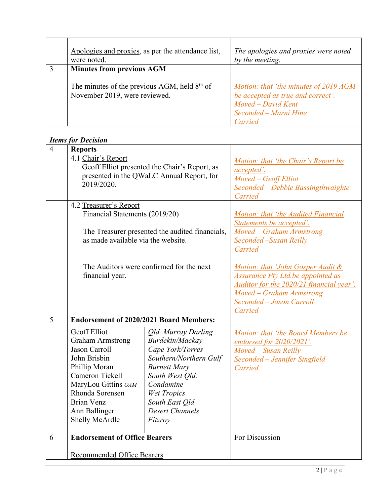|                | were noted.                                                                                                                                                                                                      | Apologies and proxies, as per the attendance list,                                                                                                                                                                | The apologies and proxies were noted<br>by the meeting.                                                                                                                                                 |  |
|----------------|------------------------------------------------------------------------------------------------------------------------------------------------------------------------------------------------------------------|-------------------------------------------------------------------------------------------------------------------------------------------------------------------------------------------------------------------|---------------------------------------------------------------------------------------------------------------------------------------------------------------------------------------------------------|--|
| 3              | <b>Minutes from previous AGM</b><br>The minutes of the previous AGM, held $8th$ of<br>November 2019, were reviewed.                                                                                              |                                                                                                                                                                                                                   | <u>Motion: that 'the minutes of 2019 AGM</u><br>be accepted as true and correct'.<br>Moved - David Kent                                                                                                 |  |
|                |                                                                                                                                                                                                                  |                                                                                                                                                                                                                   | Seconded - Marni Hine<br>Carried                                                                                                                                                                        |  |
|                | <b>Items for Decision</b>                                                                                                                                                                                        |                                                                                                                                                                                                                   |                                                                                                                                                                                                         |  |
| $\overline{4}$ | <b>Reports</b><br>4.1 Chair's Report<br>Geoff Elliot presented the Chair's Report, as<br>presented in the QWaLC Annual Report, for<br>2019/2020.                                                                 |                                                                                                                                                                                                                   | <u>Motion: that 'the Chair's Report be</u><br><i>accepted'.</i><br>Moved - Geoff Elliot<br>Seconded - Debbie Bassingthwaighte<br>Carried                                                                |  |
|                | 4.2 Treasurer's Report<br>Financial Statements (2019/20)<br>The Treasurer presented the audited financials,<br>as made available via the website.<br>The Auditors were confirmed for the next<br>financial year. |                                                                                                                                                                                                                   | Motion: that 'the Audited Financial<br>Statements be accepted'.<br>Moved – Graham Armstrong<br>Seconded -Susan Reilly                                                                                   |  |
|                |                                                                                                                                                                                                                  |                                                                                                                                                                                                                   | Carried<br>Motion: that 'John Gosper Audit &<br><b>Assurance Pty Ltd.be appointed as</b><br>Auditor for the 2020/21 financial year'.<br>Moved - Graham Armstrong<br>Seconded - Jason Carroll<br>Carried |  |
| 5              | <b>Endorsement of 2020/2021 Board Members:</b>                                                                                                                                                                   |                                                                                                                                                                                                                   |                                                                                                                                                                                                         |  |
|                | Geoff Elliot<br><b>Graham Armstrong</b><br>Jason Carroll<br>John Brisbin<br>Phillip Moran<br>Cameron Tickell<br>MaryLou Gittins OAM<br>Rhonda Sorensen<br>Brian Venz<br>Ann Ballinger<br>Shelly McArdle          | Qld. Murray Darling<br>Burdekin/Mackay<br>Cape York/Torres<br>Southern/Northern Gulf<br><b>Burnett Mary</b><br>South West Qld.<br>Condamine<br>Wet Tropics<br>South East Qld<br><b>Desert Channels</b><br>Fitzroy | Motion: that 'the Board Members be<br>endorsed for 2020/2021'.<br>Moved – Susan Reilly<br>Seconded - Jennifer Singfield<br>Carried                                                                      |  |
| 6              | <b>Endorsement of Office Bearers</b>                                                                                                                                                                             |                                                                                                                                                                                                                   | For Discussion                                                                                                                                                                                          |  |
|                | <b>Recommended Office Bearers</b>                                                                                                                                                                                |                                                                                                                                                                                                                   |                                                                                                                                                                                                         |  |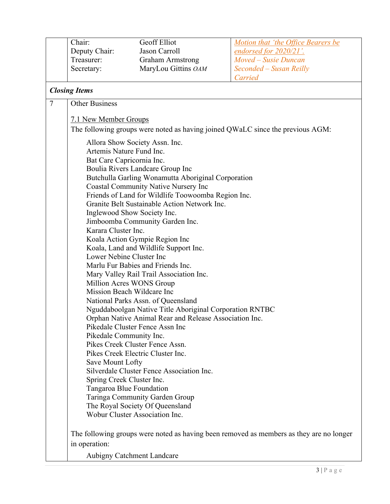|   | Chair:                                                              | Geoff Elliot                                            | Motion that 'the Office Bearers be                                                      |
|---|---------------------------------------------------------------------|---------------------------------------------------------|-----------------------------------------------------------------------------------------|
|   | Deputy Chair:                                                       | Jason Carroll                                           | <u>endorsed for 2020/21'.</u>                                                           |
|   | Treasurer:                                                          | <b>Graham Armstrong</b>                                 | Moved – Susie Duncan                                                                    |
|   | Secretary:                                                          | MaryLou Gittins OAM                                     | Seconded - Susan Reilly                                                                 |
|   |                                                                     |                                                         | Carried                                                                                 |
|   | <b>Closing Items</b>                                                |                                                         |                                                                                         |
| 7 | <b>Other Business</b>                                               |                                                         |                                                                                         |
|   | 7.1 New Member Groups                                               |                                                         |                                                                                         |
|   |                                                                     |                                                         | The following groups were noted as having joined QWaLC since the previous AGM:          |
|   |                                                                     | Allora Show Society Assn. Inc.                          |                                                                                         |
|   | Artemis Nature Fund Inc.                                            |                                                         |                                                                                         |
|   | Bat Care Capricornia Inc.                                           |                                                         |                                                                                         |
|   | Boulia Rivers Landcare Group Inc                                    |                                                         |                                                                                         |
|   | Butchulla Garling Wonamutta Aboriginal Corporation                  |                                                         |                                                                                         |
|   |                                                                     | <b>Coastal Community Native Nursery Inc</b>             |                                                                                         |
|   |                                                                     | Friends of Land for Wildlife Toowoomba Region Inc.      |                                                                                         |
|   |                                                                     | Granite Belt Sustainable Action Network Inc.            |                                                                                         |
|   |                                                                     | Inglewood Show Society Inc.                             |                                                                                         |
|   |                                                                     | Jimboomba Community Garden Inc.                         |                                                                                         |
|   | Karara Cluster Inc.                                                 |                                                         |                                                                                         |
|   |                                                                     | Koala Action Gympie Region Inc                          |                                                                                         |
|   |                                                                     | Koala, Land and Wildlife Support Inc.                   |                                                                                         |
|   | Lower Nebine Cluster Inc                                            |                                                         |                                                                                         |
|   | Marlu Fur Babies and Friends Inc.                                   |                                                         |                                                                                         |
|   | Mary Valley Rail Trail Association Inc.<br>Million Acres WONS Group |                                                         |                                                                                         |
|   |                                                                     | Mission Beach Wildcare Inc                              |                                                                                         |
|   |                                                                     | National Parks Assn. of Queensland                      |                                                                                         |
|   |                                                                     | Nguddaboolgan Native Title Aboriginal Corporation RNTBC |                                                                                         |
|   |                                                                     | Orphan Native Animal Rear and Release Association Inc.  |                                                                                         |
|   |                                                                     | Pikedale Cluster Fence Assn Inc                         |                                                                                         |
|   | Pikedale Community Inc.                                             |                                                         |                                                                                         |
|   | Pikes Creek Cluster Fence Assn.                                     |                                                         |                                                                                         |
|   | Pikes Creek Electric Cluster Inc.                                   |                                                         |                                                                                         |
|   | Save Mount Lofty                                                    |                                                         |                                                                                         |
|   | Silverdale Cluster Fence Association Inc.                           |                                                         |                                                                                         |
|   | Spring Creek Cluster Inc.                                           |                                                         |                                                                                         |
|   | Tangaroa Blue Foundation                                            |                                                         |                                                                                         |
|   | Taringa Community Garden Group                                      |                                                         |                                                                                         |
|   |                                                                     | The Royal Society Of Queensland                         |                                                                                         |
|   |                                                                     | Wobur Cluster Association Inc.                          |                                                                                         |
|   |                                                                     |                                                         | The following groups were noted as having been removed as members as they are no longer |
|   | in operation:                                                       |                                                         |                                                                                         |
|   |                                                                     | Aubigny Catchment Landcare                              |                                                                                         |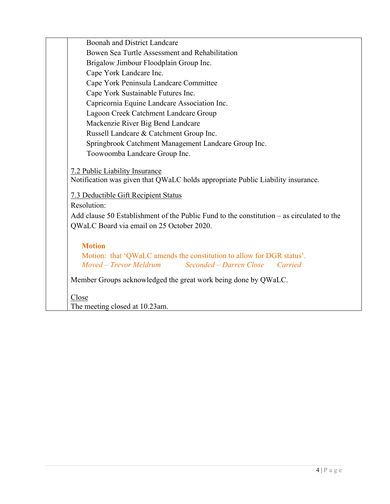|       | Boonah and District Landcare                                                                                                                              |
|-------|-----------------------------------------------------------------------------------------------------------------------------------------------------------|
|       | Bowen Sea Turtle Assessment and Rehabilitation                                                                                                            |
|       | Brigalow Jimbour Floodplain Group Inc.                                                                                                                    |
|       | Cape York Landcare Inc.                                                                                                                                   |
|       | Cape York Peninsula Landcare Committee                                                                                                                    |
|       | Cape York Sustainable Futures Inc.                                                                                                                        |
|       | Capricornia Equine Landcare Association Inc.                                                                                                              |
|       | Lagoon Creek Catchment Landcare Group                                                                                                                     |
|       | Mackenzie River Big Bend Landcare                                                                                                                         |
|       | Russell Landcare & Catchment Group Inc.                                                                                                                   |
|       | Springbrook Catchment Management Landcare Group Inc.                                                                                                      |
|       | Toowoomba Landcare Group Inc.                                                                                                                             |
|       | 7.2 Public Liability Insurance<br>Notification was given that QWaLC holds appropriate Public Liability insurance.<br>7.3 Deductible Gift Recipient Status |
|       | Resolution:                                                                                                                                               |
|       | Add clause 50 Establishment of the Public Fund to the constitution $-$ as circulated to the<br>QWaLC Board via email on 25 October 2020.                  |
|       | <b>Motion</b>                                                                                                                                             |
|       | Motion: that 'QWaLC amends the constitution to allow for DGR status'.<br>Seconded - Darren Close Carried<br>Moved – Trevor Meldrum                        |
|       | Member Groups acknowledged the great work being done by QWaLC.                                                                                            |
| Close |                                                                                                                                                           |
|       | The meeting closed at 10.23am.                                                                                                                            |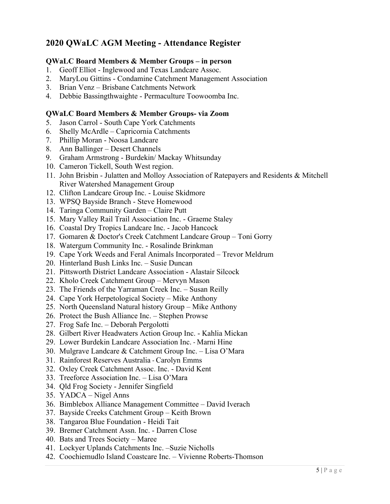### **2020 QWaLC AGM Meeting - Attendance Register**

#### **QWaLC Board Members & Member Groups – in person**

- 1. Geoff Elliot Inglewood and Texas Landcare Assoc.
- 2. MaryLou Gittins Condamine Catchment Management Association
- 3. Brian Venz Brisbane Catchments Network
- 4. Debbie Bassingthwaighte Permaculture Toowoomba Inc.

#### **QWaLC Board Members & Member Groups- via Zoom**

- 5. Jason Carrol South Cape York Catchments
- 6. Shelly McArdle Capricornia Catchments
- 7. Phillip Moran Noosa Landcare
- 8. Ann Ballinger Desert Channels
- 9. Graham Armstrong Burdekin/ Mackay Whitsunday
- 10. Cameron Tickell, South West region.
- 11. John Brisbin Julatten and Molloy Association of Ratepayers and Residents & Mitchell River Watershed Management Group
- 12. Clifton Landcare Group Inc. Louise Skidmore
- 13. WPSQ Bayside Branch Steve Homewood
- 14. Taringa Community Garden Claire Putt
- 15. Mary Valley Rail Trail Association Inc. Graeme Staley
- 16. Coastal Dry Tropics Landcare Inc. Jacob Hancock
- 17. Gomaren & Doctor's Creek Catchment Landcare Group Toni Gorry
- 18. Watergum Community Inc. Rosalinde Brinkman
- 19. Cape York Weeds and Feral Animals Incorporated Trevor Meldrum
- 20. Hinterland Bush Links Inc. Susie Duncan
- 21. Pittsworth District Landcare Association Alastair Silcock
- 22. Kholo Creek Catchment Group Mervyn Mason
- 23. The Friends of the Yarraman Creek Inc. Susan Reilly
- 24. Cape York Herpetological Society Mike Anthony
- 25. North Queensland Natural history Group Mike Anthony
- 26. Protect the Bush Alliance Inc. Stephen Prowse
- 27. Frog Safe Inc. Deborah Pergolotti
- 28. Gilbert River Headwaters Action Group Inc. Kahlia Mickan
- 29. Lower Burdekin Landcare Association Inc. Marni Hine
- 30. Mulgrave Landcare & Catchment Group Inc. Lisa O'Mara
- 31. Rainforest Reserves Australia Carolyn Emms
- 32. Oxley Creek Catchment Assoc. Inc. David Kent
- 33. Treeforce Association Inc. Lisa O'Mara
- 34. Qld Frog Society Jennifer Singfield
- 35. YADCA Nigel Anns
- 36. Bimblebox Alliance Management Committee David Iverach
- 37. Bayside Creeks Catchment Group Keith Brown
- 38. Tangaroa Blue Foundation Heidi Tait
- 39. Bremer Catchment Assn. Inc. Darren Close
- 40. Bats and Trees Society Maree
- 41. Lockyer Uplands Catchments Inc. –Suzie Nicholls
- 42. Coochiemudlo Island Coastcare Inc. Vivienne Roberts-Thomson